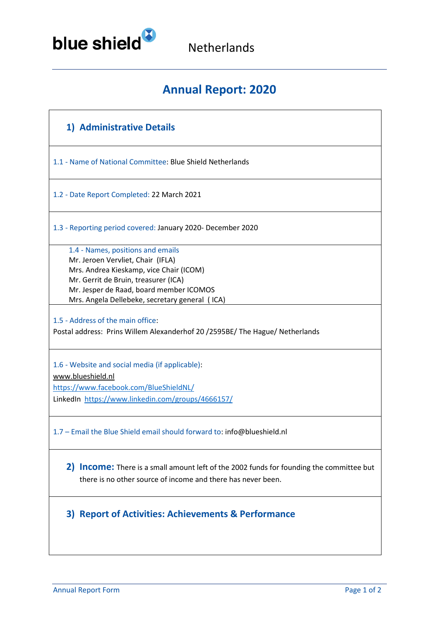

Netherlands

# **Annual Report: 2020**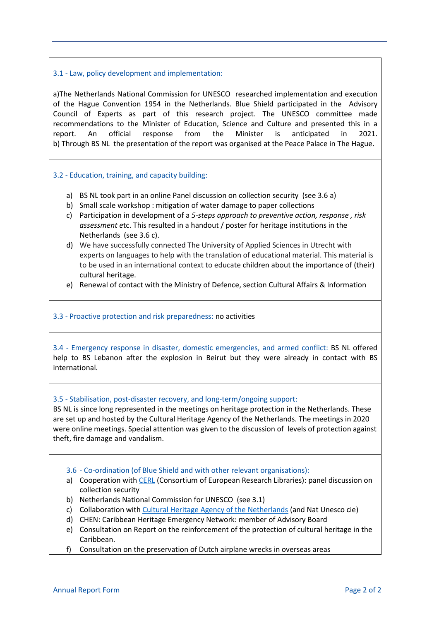## 3.1 - Law, policy development and implementation:

a)The Netherlands National Commission for UNESCO researched implementation and execution of the Hague Convention 1954 in the Netherlands. Blue Shield participated in the Advisory Council of Experts as part of this research project. The UNESCO committee made recommendations to the Minister of Education, Science and Culture and presented this in a report. An official response from the Minister is anticipated in 2021. b) Through BS NL the presentation of the report was organised at the Peace Palace in The Hague.

## 3.2 - Education, training, and capacity building:

- a) BS NL took part in an online Panel discussion on collection security (see 3.6 a)
- b) Small scale workshop : mitigation of water damage to paper collections
- c) Participation in development of a *5-steps approach to preventive action, response , risk assessment e*tc. This resulted in a handout / poster for heritage institutions in the Netherlands (see 3.6 c).
- d) We have successfully connected The University of Applied Sciences in Utrecht with experts on languages to help with the translation of educational material. This material is to be used in an international context to educate children about the importance of (their) cultural heritage.
- e) Renewal of contact with the Ministry of Defence, section Cultural Affairs & Information

#### 3.3 - Proactive protection and risk preparedness: no activities

3.4 - Emergency response in disaster, domestic emergencies, and armed conflict: BS NL offered help to BS Lebanon after the explosion in Beirut but they were already in contact with BS international.

#### 3.5 - Stabilisation, post-disaster recovery, and long-term/ongoing support:

BS NL is since long represented in the meetings on heritage protection in the Netherlands. These are set up and hosted by the Cultural Heritage Agency of the Netherlands. The meetings in 2020 were online meetings. Special attention was given to the discussion of levels of protection against theft, fire damage and vandalism.

#### 3.6 - Co-ordination (of Blue Shield and with other relevant organisations):

- a) Cooperation wit[h CERL](https://www.cerl.org/) (Consortium of European Research Libraries): panel discussion on collection security
- b) Netherlands National Commission for UNESCO (see 3.1)
- c) Collaboration with [Cultural Heritage Agency of the Netherlands](https://english.cultureelerfgoed.nl/) (and Nat Unesco cie)
- d) CHEN: Caribbean Heritage Emergency Network: member of Advisory Board
- e) Consultation on Report on the reinforcement of the protection of cultural heritage in the Caribbean.
- f) Consultation on the preservation of Dutch airplane wrecks in overseas areas